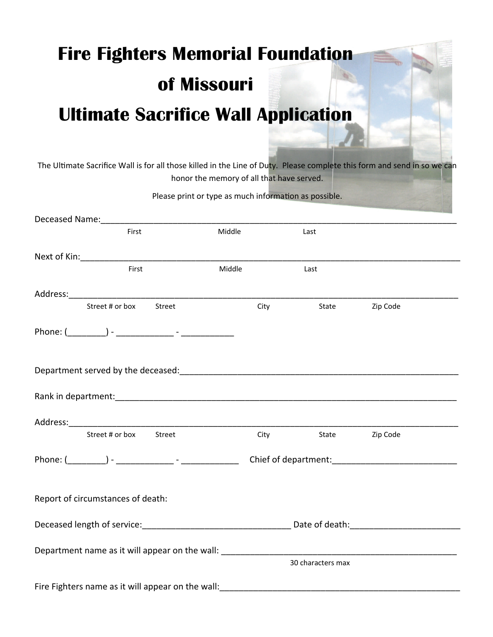## **Fire Fighters Memorial Foundation of Missouri Ultimate Sacrifice Wall Application**

The Ultimate Sacrifice Wall is for all those killed in the Line of Duty. Please complete this form and send in so we can honor the memory of all that have served.

| Please print or type as much information as possible.                                                                                                                                                                          |                      |                                          |                |  |
|--------------------------------------------------------------------------------------------------------------------------------------------------------------------------------------------------------------------------------|----------------------|------------------------------------------|----------------|--|
| Deceased Name: Manual Manual Manual Manual Manual Manual Manual Manual Manual Manual Manual Manual Manual Manua                                                                                                                |                      |                                          |                |  |
| First                                                                                                                                                                                                                          | <b>Middle Middle</b> | Last                                     |                |  |
| Next of Kin: Next of Kin:                                                                                                                                                                                                      |                      |                                          |                |  |
| First                                                                                                                                                                                                                          | Middle               | Last                                     |                |  |
| Address: Address: Address: Address: Address: Address: Address: Address: Address: Address: Address: A                                                                                                                           |                      |                                          |                |  |
| Street # or box Street                                                                                                                                                                                                         |                      | <b>City</b>                              | State Zip Code |  |
|                                                                                                                                                                                                                                |                      |                                          |                |  |
| Department served by the deceased: entitled and all the parameters of the contract of the contract of the control of                                                                                                           |                      |                                          |                |  |
| Rank in department: All and the second contract of the second contract of the second contract of the second contract of the second contract of the second contract of the second contract of the second contract of the second |                      |                                          |                |  |
|                                                                                                                                                                                                                                |                      |                                          |                |  |
| Street # or box Street                                                                                                                                                                                                         |                      | <b>City City</b>                         | State Zip Code |  |
|                                                                                                                                                                                                                                |                      | Phone: ( ) - The contract of department: |                |  |
| Report of circumstances of death:                                                                                                                                                                                              |                      |                                          |                |  |
|                                                                                                                                                                                                                                |                      |                                          |                |  |
| Department name as it will appear on the wall:                                                                                                                                                                                 |                      | 30 characters max                        |                |  |
| Fire Fighters name as it will appear on the wall:                                                                                                                                                                              |                      |                                          |                |  |